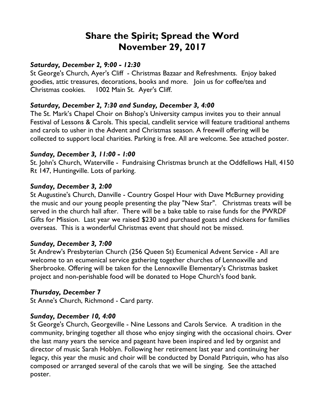# **Share the Spirit; Spread the Word November 29, 2017**

### *Saturday, December 2, 9:00 - 12:30*

St George's Church, Ayer's Cliff - Christmas Bazaar and Refreshments. Enjoy baked goodies, attic treasures, decorations, books and more. Join us for coffee/tea and Christmas cookies. 1002 Main St. Ayer's Cliff.

## *Saturday, December 2, 7:30 and Sunday, December 3, 4:00*

The St. Mark's Chapel Choir on Bishop's University campus invites you to their annual Festival of Lessons & Carols. This special, candlelit service will feature traditional anthems and carols to usher in the Advent and Christmas season. A freewill offering will be collected to support local charities. Parking is free. All are welcome. See attached poster.

#### *Sunday, December 3, 11:00 - 1:00*

St. John's Church, Waterville - Fundraising Christmas brunch at the Oddfellows Hall, 4150 Rt 147, Huntingville. Lots of parking.

#### *Sunday, December 3, 2:00*

St Augustine's Church, Danville - Country Gospel Hour with Dave McBurney providing the music and our young people presenting the play "New Star". Christmas treats will be served in the church hall after. There will be a bake table to raise funds for the PWRDF Gifts for Mission. Last year we raised \$230 and purchased goats and chickens for families overseas. This is a wonderful Christmas event that should not be missed.

#### *Sunday, December 3, 7:00*

St Andrew's Presbyterian Church (256 Queen St) Ecumenical Advent Service - All are welcome to an ecumenical service gathering together churches of Lennoxville and Sherbrooke. Offering will be taken for the Lennoxville Elementary's Christmas basket project and non-perishable food will be donated to Hope Church's food bank.

#### *Thursday, December 7*

St Anne's Church, Richmond - Card party.

#### *Sunday, December 10, 4:00*

St George's Church, Georgeville - Nine Lessons and Carols Service. A tradition in the community, bringing together all those who enjoy singing with the occasional choirs. Over the last many years the service and pageant have been inspired and led by organist and director of music Sarah Hoblyn. Following her retirement last year and continuing her legacy, this year the music and choir will be conducted by Donald Patriquin, who has also composed or arranged several of the carols that we will be singing. See the attached poster.